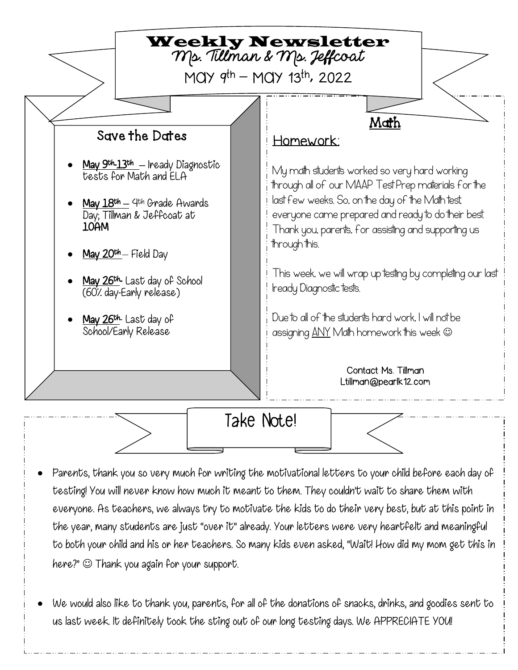

Take Note!

• Parents, thank you so very much for writing the motivational letters to your child before each day of testing! You will never know how much it meant to them. They couldn't wait to share them with everyone. As teachers, we always try to motivate the kids to do their very best, but at this point in the year, many students are just "over it" already. Your letters were very heartfelt and meaningful to both your child and his or her teachers. So many kids even asked, "Wait! How did my mom get this in here?"  $\odot$  Thank you again for your support.

• We would also like to thank you, parents, for all of the donations of snacks, drinks, and goodies sent to us last week. It definitely took the sting out of our long testing days. We APPRECIATE YOU!